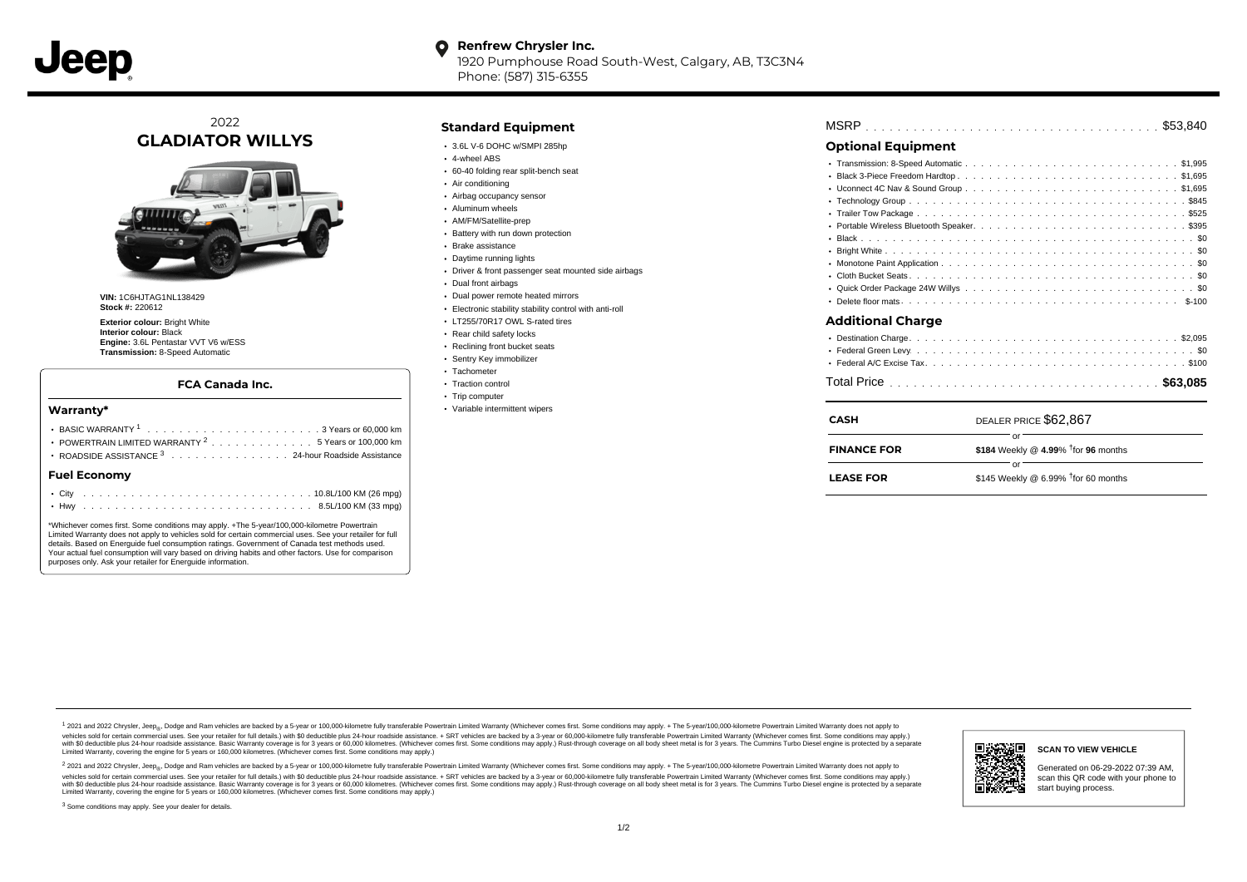**Renfrew Chrysler Inc.**  $\bullet$ 

> 1920 Pumphouse Road South-West, Calgary, AB, T3C3N4 Phone: (587) 315-6355

# 2022 **GLADIATOR WILLYS**



**VIN:** 1C6HJTAG1NL138429 **Stock #:** 220612

**Exterior colour: Bright White Interior colour:** Black **Engine:** 3.6L Pentastar VVT V6 w/ESS **Transmission:** 8-Speed Automatic

### **FCA Canada Inc.**

### **Warranty\***

| ROADSIDE ASSISTANCE 3 24-hour Roadside Assistance |  |  |  |  |  |  |  |  | POWERTRAIN LIMITED WARRANTY <sup>2</sup> 5 Years or 100,000 km |  |  |
|---------------------------------------------------|--|--|--|--|--|--|--|--|----------------------------------------------------------------|--|--|
| <b>Fuel Economy</b>                               |  |  |  |  |  |  |  |  |                                                                |  |  |
|                                                   |  |  |  |  |  |  |  |  |                                                                |  |  |
|                                                   |  |  |  |  |  |  |  |  |                                                                |  |  |

\*Whichever comes first. Some conditions may apply. +The 5-year/100,000-kilometre Powertrain Limited Warranty does not apply to vehicles sold for certain commercial uses. See your retailer for full details. Based on Energuide fuel consumption ratings. Government of Canada test methods used. Your actual fuel consumption will vary based on driving habits and other factors. Use for comparison purposes only. Ask your retailer for Energuide information.

## **Standard Equipment**

- $\cdot$  3.6L V-6 DOHC w/SMPI 285hp
- 4-wheel ABS
- 60-40 folding rear split-bench seat
- Air conditioning
- Airbag occupancy sensor
- Aluminum wheels
- AM/FM/Satellite-prep **Battery with run down protection**
- 
- Brake assistance
- Daytime running lights
- Driver & front passenger seat mounted side airbags
- Dual front airbags
- Dual power remote heated mirrors
- Electronic stability stability control with anti-roll
- LT255/70R17 OWL S-rated tires
- Rear child safety locks
- Reclining front bucket seats
- Sentry Key immobilizer
- Tachometer
- Traction control
- Trip computer
- Variable intermittent wipers

| <b>MSRP</b> |  |  |  |  |  |  |  |  |  |  |  |  |  |  |  |  |  |  |  |  |  |  |  |  |  |  |  |  |  |  |  |  |  |  |  |  |  |  |
|-------------|--|--|--|--|--|--|--|--|--|--|--|--|--|--|--|--|--|--|--|--|--|--|--|--|--|--|--|--|--|--|--|--|--|--|--|--|--|--|
|-------------|--|--|--|--|--|--|--|--|--|--|--|--|--|--|--|--|--|--|--|--|--|--|--|--|--|--|--|--|--|--|--|--|--|--|--|--|--|--|

# **Optional Equipment**

| Additional Charge              |
|--------------------------------|
|                                |
|                                |
|                                |
|                                |
| $\mathsf{max} \; \mathsf{max}$ |

| <b>CASH</b>        | DEALER PRICE \$62,867                        |
|--------------------|----------------------------------------------|
| <b>FINANCE FOR</b> | \$184 Weekly @ 4.99% $\dagger$ for 96 months |
| <b>LEASE FOR</b>   | \$145 Weekly @ 6.99% $†$ for 60 months       |

1 2021 and 2022 Chrysler, Jeep<sub>en</sub> Dodge and Ram vehicles are backed by a 5-year or 100,000-kilometre fully transferable Powertrain Limited Warranty (Whichever comes first. Some conditions may apply. + The 5-year/100,000-k vehicles sold for certain commercial uses. See your retailer for full details.) with \$0 deductible plus 24-hour roadside assistance. + SRT vehicles are backed by a 3-year or 60,000-kilometre fully transferable Powertrain L versus and contract the mean of the contract of the contract with a contract with a contract the contract of the search of the contract and a control of the contract and contract and control of the search of the search of Limited Warranty, covering the engine for 5 years or 160,000 kilometres. (Whichever comes first. Some conditions may apply.)

<sup>2</sup> 2021 and 2022 Chrysler, Jeep<sub>®</sub>, Dodge and Ram vehicles are backed by a 5-year or 100,000-kilometre fully transferable Powertrain Limited Warranty (Whichever comes first. Some conditions may apply. + The 5-year/100,000 vehicles sold for certain commercial uses. See your retailer for full details.) with SO deductible plus 24-hour roadside assistance. + SRT vehicles are backed by a 3-year or 60.000-kilometre fully transferable Powertrain L with S0 deductible plus 24-hour roadside assistance. Basic Warranty coverage is for 3 years or 60,000 kilometres. (Whichever comes first. Some conditions may apply.) Rust-through coverage on all body sheet metal is for 3 y

<sup>3</sup> Some conditions may apply. See your dealer for details.



Generated on 06-29-2022 07:39 AM, scan this QR code with your phone to start buying process.